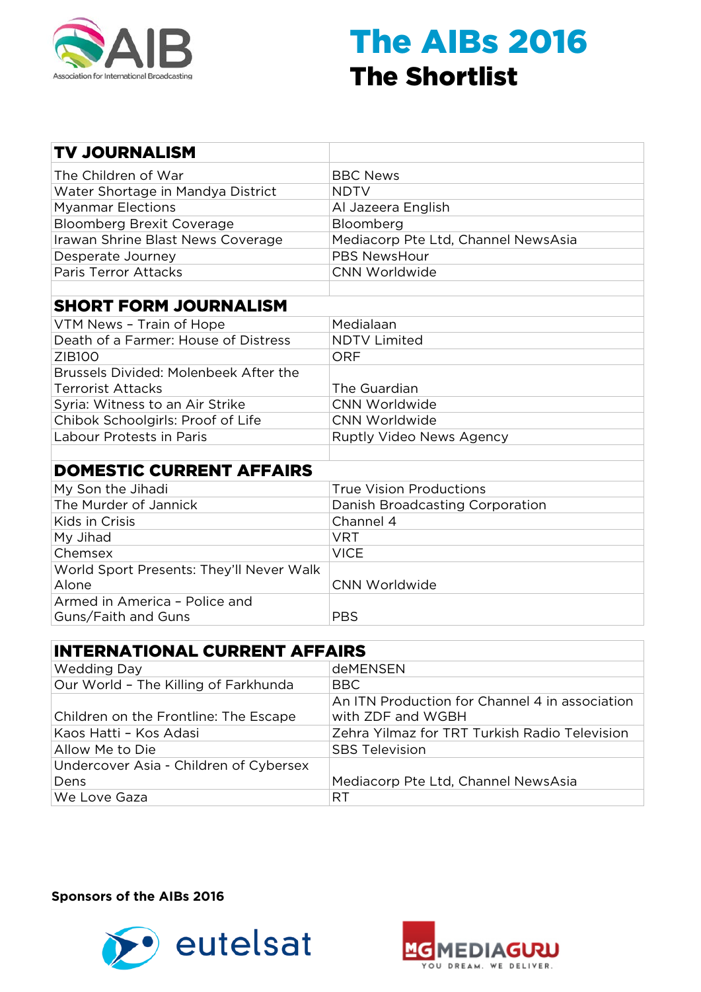

| <b>TV JOURNALISM</b>                     |                                     |
|------------------------------------------|-------------------------------------|
| The Children of War                      | <b>BBC News</b>                     |
| Water Shortage in Mandya District        | <b>NDTV</b>                         |
| <b>Myanmar Elections</b>                 | Al Jazeera English                  |
| <b>Bloomberg Brexit Coverage</b>         | Bloomberg                           |
| Irawan Shrine Blast News Coverage        | Mediacorp Pte Ltd, Channel NewsAsia |
| Desperate Journey                        | <b>PBS NewsHour</b>                 |
| <b>Paris Terror Attacks</b>              | <b>CNN Worldwide</b>                |
|                                          |                                     |
| <b>SHORT FORM JOURNALISM</b>             |                                     |
| VTM News - Train of Hope                 | Medialaan                           |
| Death of a Farmer: House of Distress     | <b>NDTV Limited</b>                 |
| ZIB100                                   | <b>ORF</b>                          |
| Brussels Divided: Molenbeek After the    |                                     |
| <b>Terrorist Attacks</b>                 | The Guardian                        |
| Syria: Witness to an Air Strike          | CNN Worldwide                       |
| Chibok Schoolgirls: Proof of Life        | <b>CNN Worldwide</b>                |
| Labour Protests in Paris                 | Ruptly Video News Agency            |
|                                          |                                     |
| <b>DOMESTIC CURRENT AFFAIRS</b>          |                                     |
| My Son the Jihadi                        | <b>True Vision Productions</b>      |
| The Murder of Jannick                    | Danish Broadcasting Corporation     |
| Kids in Crisis                           | Channel 4                           |
| My Jihad                                 | <b>VRT</b>                          |
| Chemsex                                  | <b>VICE</b>                         |
| World Sport Presents: They'll Never Walk |                                     |
| Alone                                    | <b>CNN Worldwide</b>                |
| Armed in America - Police and            |                                     |
| Guns/Faith and Guns                      | <b>PBS</b>                          |

#### INTERNATIONAL CURRENT AFFAIRS

| <b>Wedding Day</b>                     | <b>deMENSEN</b>                                                     |
|----------------------------------------|---------------------------------------------------------------------|
| Our World - The Killing of Farkhunda   | BBC                                                                 |
| Children on the Frontline: The Escape  | An ITN Production for Channel 4 in association<br>with ZDF and WGBH |
| Kaos Hatti - Kos Adasi                 | Zehra Yilmaz for TRT Turkish Radio Television                       |
| Allow Me to Die                        | <b>SBS Television</b>                                               |
| Undercover Asia - Children of Cybersex |                                                                     |
| Dens                                   | Mediacorp Pte Ltd, Channel NewsAsia                                 |
| We Love Gaza                           | RT                                                                  |



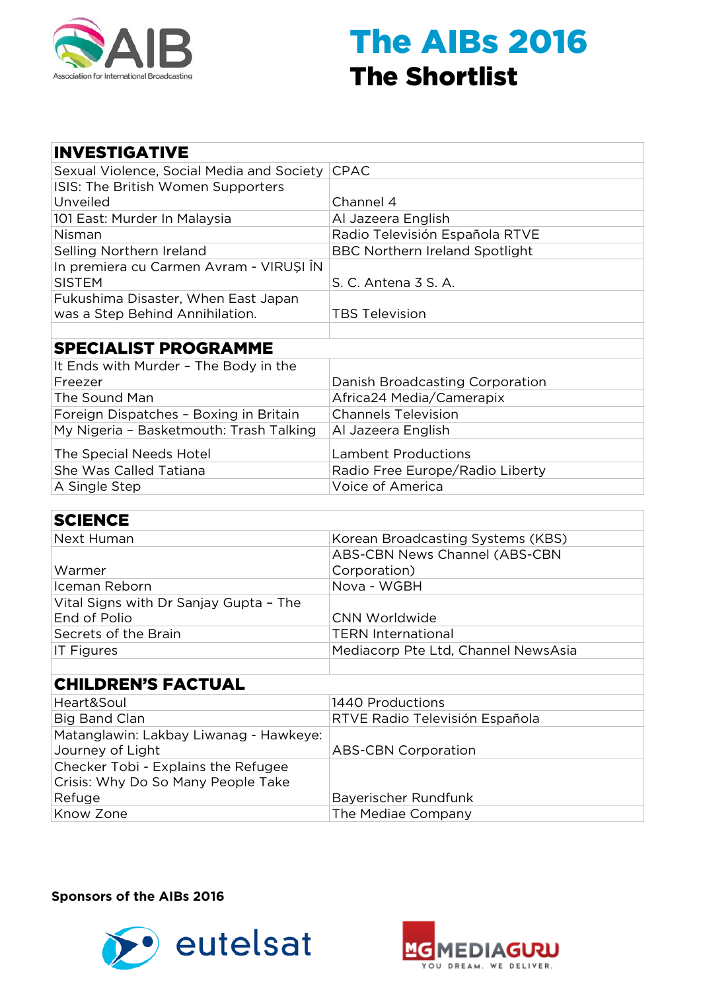

| <b>INVESTIGATIVE</b>                                     |                                       |
|----------------------------------------------------------|---------------------------------------|
| Sexual Violence, Social Media and Society                | <b>CPAC</b>                           |
| ISIS: The British Women Supporters                       |                                       |
| Unveiled                                                 | Channel 4                             |
| 101 East: Murder In Malaysia                             | Al Jazeera English                    |
| Nisman                                                   | Radio Televisión Española RTVE        |
| Selling Northern Ireland                                 | <b>BBC Northern Ireland Spotlight</b> |
| In premiera cu Carmen Avram - VIRUȘI ÎN<br><b>SISTEM</b> | S. C. Antena 3 S. A.                  |
| Fukushima Disaster, When East Japan                      |                                       |
| was a Step Behind Annihilation.                          | <b>TBS Television</b>                 |
|                                                          |                                       |
| <b>SPECIALIST PROGRAMME</b>                              |                                       |
| It Ends with Murder - The Body in the                    |                                       |
| Freezer                                                  | Danish Broadcasting Corporation       |
| The Sound Man                                            | Africa24 Media/Camerapix              |
| Foreign Dispatches - Boxing in Britain                   | <b>Channels Television</b>            |
| My Nigeria - Basketmouth: Trash Talking                  | Al Jazeera English                    |
| The Special Needs Hotel                                  | <b>Lambent Productions</b>            |
| She Was Called Tatiana                                   | Radio Free Europe/Radio Liberty       |
| A Single Step                                            | Voice of America                      |

| <b>SCIENCE</b> |  |
|----------------|--|
|----------------|--|

| Korean Broadcasting Systems (KBS)   |
|-------------------------------------|
| ABS-CBN News Channel (ABS-CBN       |
| Corporation)                        |
| Nova - WGBH                         |
|                                     |
| <b>CNN Worldwide</b>                |
| <b>TERN International</b>           |
| Mediacorp Pte Ltd, Channel NewsAsia |
|                                     |
|                                     |
| 1440 Productions                    |
| RTVE Radio Televisión Española      |
|                                     |
| <b>ABS-CBN Corporation</b>          |
|                                     |

| Checker Tobi - Explains the Refugee |                             |
|-------------------------------------|-----------------------------|
| Crisis: Why Do So Many People Take  |                             |
| Refuge                              | <b>Bayerischer Rundfunk</b> |
| Know Zone                           | The Mediae Company          |



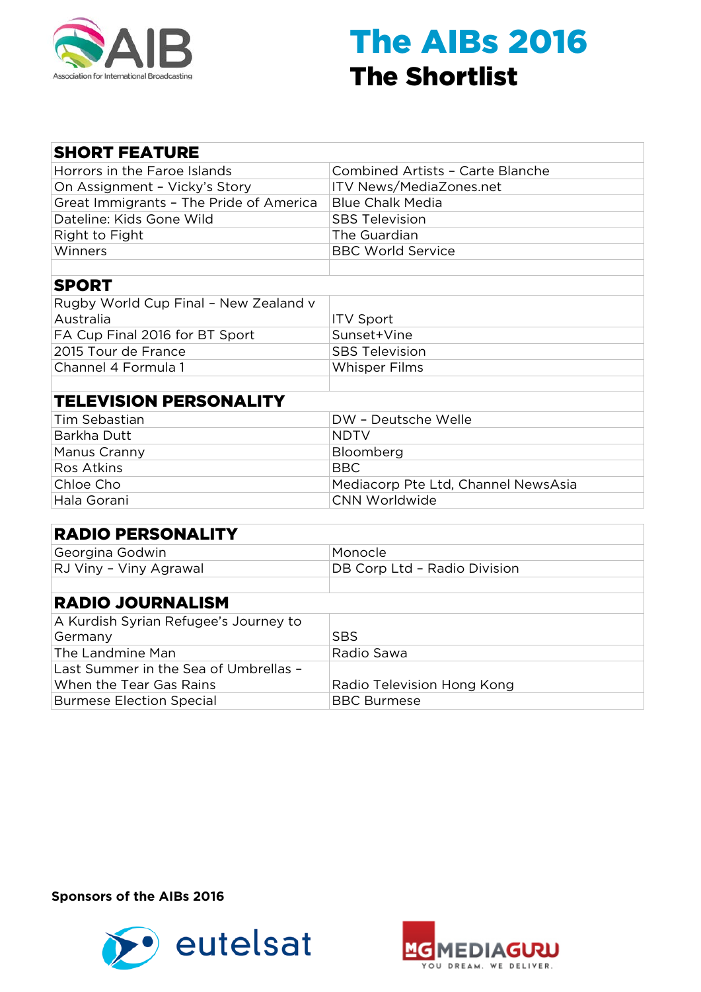

| <b>SHORT FEATURE</b>                    |                                         |
|-----------------------------------------|-----------------------------------------|
| Horrors in the Faroe Islands            | <b>Combined Artists - Carte Blanche</b> |
| On Assignment - Vicky's Story           | ITV News/MediaZones.net                 |
| Great Immigrants - The Pride of America | <b>Blue Chalk Media</b>                 |
| Dateline: Kids Gone Wild                | <b>SBS Television</b>                   |
| Right to Fight                          | The Guardian                            |
| Winners                                 | <b>BBC World Service</b>                |
|                                         |                                         |
| <b>SPORT</b>                            |                                         |
| Rugby World Cup Final - New Zealand v   |                                         |
| Australia                               | <b>ITV Sport</b>                        |
| FA Cup Final 2016 for BT Sport          | Sunset+Vine                             |
| 2015 Tour de France                     | <b>SBS Television</b>                   |
| Channel 4 Formula 1                     | <b>Whisper Films</b>                    |
|                                         |                                         |
| <b>TELEVISION PERSONALITY</b>           |                                         |
| <b>Tim Sebastian</b>                    | DW - Deutsche Welle                     |
| Barkha Dutt                             | <b>NDTV</b>                             |
| Manus Cranny                            | Bloomberg                               |
| <b>Ros Atkins</b>                       | <b>BBC</b>                              |
| Chloe Cho                               | Mediacorp Pte Ltd, Channel NewsAsia     |
| Hala Gorani                             | <b>CNN Worldwide</b>                    |
|                                         |                                         |
| <b>RADIO PERSONALITY</b>                |                                         |
| Georgina Godwin                         | Monocle                                 |
| RJ Viny - Viny Agrawal                  | DB Corp Ltd - Radio Division            |
|                                         |                                         |
| <b>RADIO JOURNALISM</b>                 |                                         |
| A Kurdish Syrian Refugee's Journey to   |                                         |
| Germany                                 | <b>SBS</b>                              |
| The Landmine Man                        | Radio Sawa                              |
| Last Summer in the Sea of Umbrellas -   |                                         |
| When the Tear Gas Rains                 | Radio Television Hong Kong              |
| <b>Burmese Election Special</b>         | <b>BBC Burmese</b>                      |



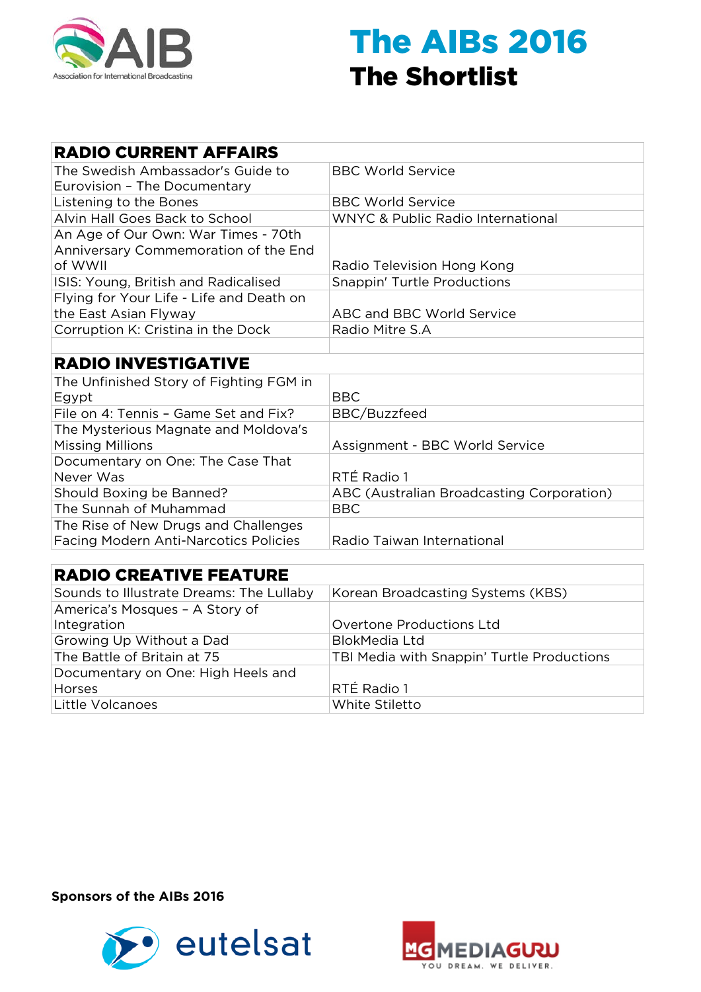

| <b>RADIO CURRENT AFFAIRS</b>                 |                                              |
|----------------------------------------------|----------------------------------------------|
| The Swedish Ambassador's Guide to            | <b>BBC World Service</b>                     |
| Eurovision - The Documentary                 |                                              |
| Listening to the Bones                       | <b>BBC World Service</b>                     |
| Alvin Hall Goes Back to School               | <b>WNYC &amp; Public Radio International</b> |
| An Age of Our Own: War Times - 70th          |                                              |
| Anniversary Commemoration of the End         |                                              |
| of WWII                                      | Radio Television Hong Kong                   |
| ISIS: Young, British and Radicalised         | Snappin' Turtle Productions                  |
| Flying for Your Life - Life and Death on     |                                              |
| the East Asian Flyway                        | <b>ABC and BBC World Service</b>             |
| Corruption K: Cristina in the Dock           | Radio Mitre S.A                              |
|                                              |                                              |
| <b>RADIO INVESTIGATIVE</b>                   |                                              |
| The Unfinished Story of Fighting FGM in      |                                              |
| Egypt                                        | <b>BBC</b>                                   |
| File on 4: Tennis - Game Set and Fix?        | BBC/Buzzfeed                                 |
| The Mysterious Magnate and Moldova's         |                                              |
| <b>Missing Millions</b>                      | Assignment - BBC World Service               |
| Documentary on One: The Case That            |                                              |
| Never Was                                    | RTÉ Radio 1                                  |
| Should Boxing be Banned?                     | ABC (Australian Broadcasting Corporation)    |
| The Sunnah of Muhammad                       | <b>BBC</b>                                   |
| The Rise of New Drugs and Challenges         |                                              |
| <b>Facing Modern Anti-Narcotics Policies</b> | Radio Taiwan International                   |
|                                              |                                              |
| <b>RADIO CREATIVE FEATURE</b>                |                                              |
| Sounds to Illustrate Dreams: The Lullaby     | Korean Broadcasting Systems (KBS)            |
| America's Mosques - A Story of               |                                              |

| America's Mosques - A Story of     |                                            |
|------------------------------------|--------------------------------------------|
| Integration                        | <b>Overtone Productions Ltd</b>            |
| Growing Up Without a Dad           | <b>BlokMedia Ltd</b>                       |
| The Battle of Britain at 75        | TBI Media with Snappin' Turtle Productions |
| Documentary on One: High Heels and |                                            |
| Horses                             | RTÉ Radio 1                                |
| Little Volcanoes                   | White Stiletto                             |